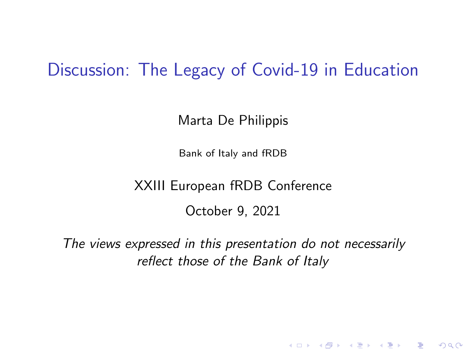#### Discussion: The Legacy of Covid-19 in Education

Marta De Philippis

Bank of Italy and fRDB

XXIII European fRDB Conference

October 9, 2021

The views expressed in this presentation do not necessarily reflect those of the Bank of Italy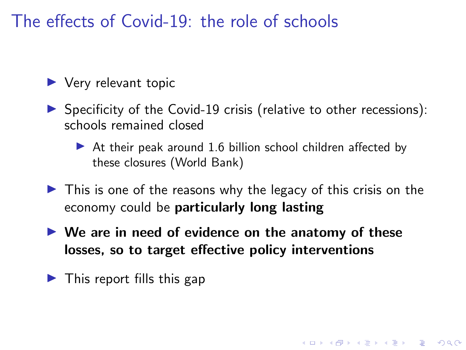### The effects of Covid-19: the role of schools

 $\blacktriangleright$  Very relevant topic

- $\triangleright$  Specificity of the Covid-19 crisis (relative to other recessions): schools remained closed
	- $\triangleright$  At their peak around 1.6 billion school children affected by these closures (World Bank)
- $\triangleright$  This is one of the reasons why the legacy of this crisis on the economy could be particularly long lasting

**KORKARYKERKER POLO** 

- $\blacktriangleright$  We are in need of evidence on the anatomy of these losses, so to target effective policy interventions
- $\blacktriangleright$  This report fills this gap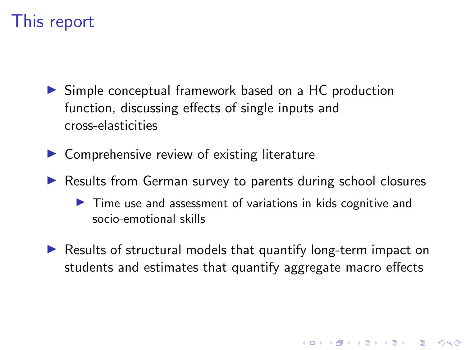### This report

- $\triangleright$  Simple conceptual framework based on a HC production function, discussing effects of single inputs and cross-elasticities
- $\triangleright$  Comprehensive review of existing literature
- ▶ Results from German survey to parents during school closures
	- $\blacktriangleright$  Time use and assessment of variations in kids cognitive and socio-emotional skills
- $\triangleright$  Results of structural models that quantify long-term impact on students and estimates that quantify aggregate macro effects

4 0 > 4 4 + 4 = + 4 = + = + + 0 4 0 +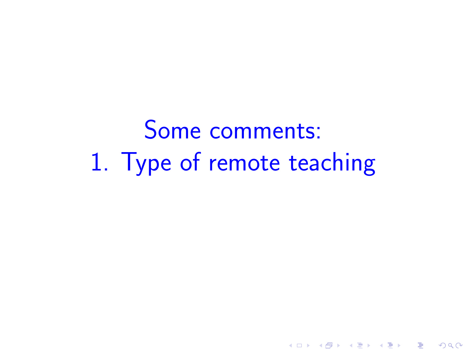Some comments: 1. Type of remote teaching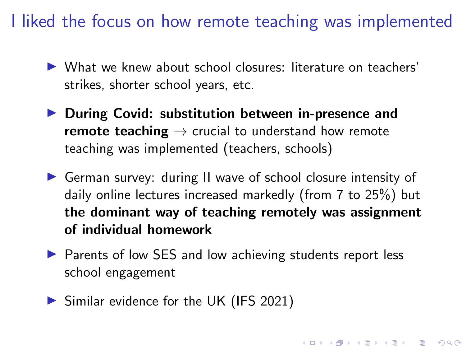I liked the focus on how remote teaching was implemented

- $\triangleright$  What we knew about school closures: literature on teachers' strikes, shorter school years, etc.
- $\blacktriangleright$  During Covid: substitution between in-presence and remote teaching  $\rightarrow$  crucial to understand how remote teaching was implemented (teachers, schools)
- ▶ German survey: during II wave of school closure intensity of daily online lectures increased markedly (from 7 to 25%) but the dominant way of teaching remotely was assignment of individual homework
- ▶ Parents of low SES and low achieving students report less school engagement

4 0 > 4 4 + 4 = + 4 = + = + + 0 4 0 +

 $\triangleright$  Similar evidence for the UK (IFS 2021)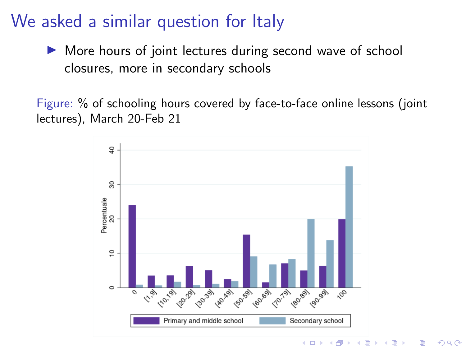#### We asked a similar question for Italy

 $\triangleright$  More hours of joint lectures during second wave of school closures, more in secondary schools

Figure: % of schooling hours covered by face-to-face online lessons (joint lectures), March 20-Feb 21



 $2Q$ 

B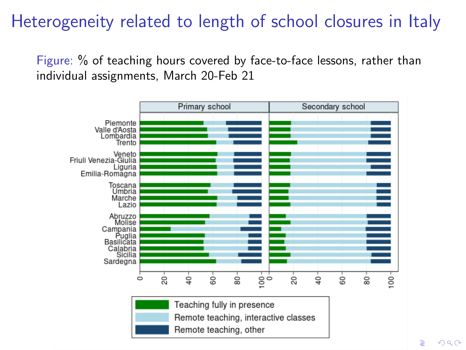## Heterogeneity related to length of school closures in Italy

Figure: % of teaching hours covered by face-to-face lessons, rather than individual assignments, March 20-Feb 21

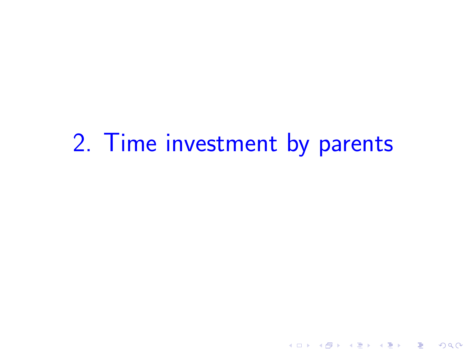# 2. Time investment by parents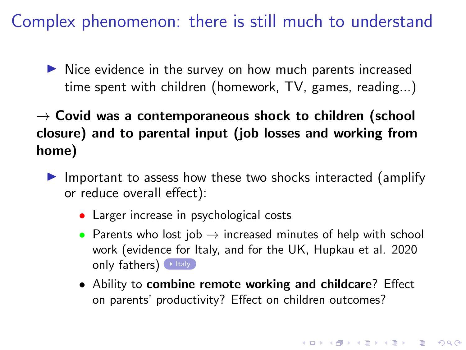Complex phenomenon: there is still much to understand

 $\triangleright$  Nice evidence in the survey on how much parents increased time spent with children (homework, TV, games, reading...)

 $\rightarrow$  Covid was a contemporaneous shock to children (school closure) and to parental input (job losses and working from home)

- <span id="page-8-0"></span> $\blacktriangleright$  Important to assess how these two shocks interacted (amplify or reduce overall effect):
	- Larger increase in psychological costs
	- Parents who lost job  $\rightarrow$  increased minutes of help with school work (evidence for Italy, and for the UK, Hupkau et al. 2020 only fathers)  $\triangleright$  [Italy](#page-15-0)
	- Ability to combine remote working and childcare? Effect on parents' productivity? Effect on children outcomes?

4 0 > 4 4 + 4 = + 4 = + = + + 0 4 0 +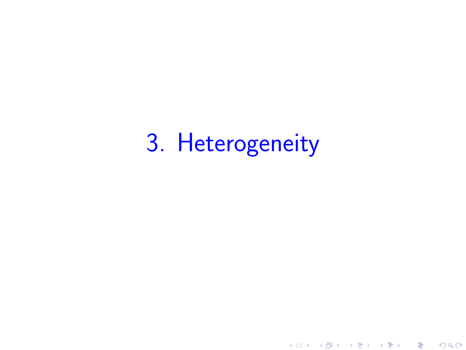# 3. Heterogeneity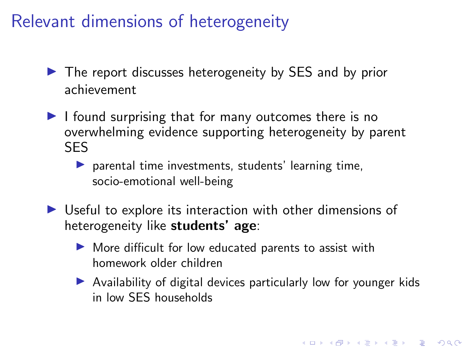## Relevant dimensions of heterogeneity

- $\triangleright$  The report discusses heterogeneity by SES and by prior achievement
- $\blacktriangleright$  I found surprising that for many outcomes there is no overwhelming evidence supporting heterogeneity by parent SES
	- $\triangleright$  parental time investments, students' learning time, socio-emotional well-being
- $\triangleright$  Useful to explore its interaction with other dimensions of heterogeneity like students' age:
	- $\blacktriangleright$  More difficult for low educated parents to assist with homework older children
	- $\triangleright$  Availability of digital devices particularly low for younger kids in low SES households

4 0 > 4 4 + 4 = + 4 = + = + + 0 4 0 +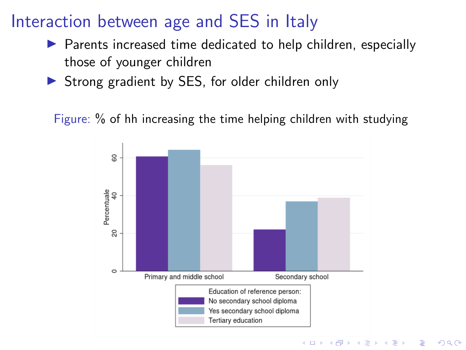## Interaction between age and SES in Italy

- $\triangleright$  Parents increased time dedicated to help children, especially those of younger children
- $\triangleright$  Strong gradient by SES, for older children only

Figure: % of hh increasing the time helping children with studying

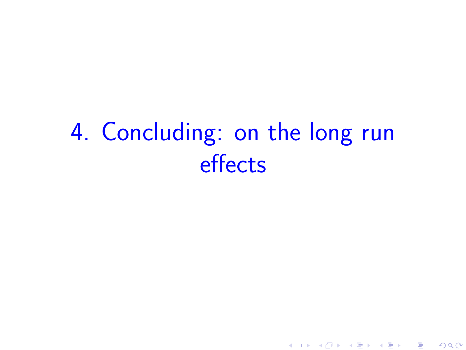# 4. Concluding: on the long run effects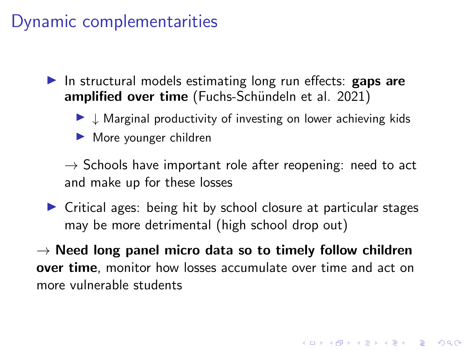#### Dynamic complementarities

In structural models estimating long run effects: **gaps are** amplified over time (Fuchs-Schündeln et al. 2021)

- $\blacktriangleright \downarrow$  Marginal productivity of investing on lower achieving kids
- $\blacktriangleright$  More younger children

 $\rightarrow$  Schools have important role after reopening: need to act and make up for these losses

 $\triangleright$  Critical ages: being hit by school closure at particular stages may be more detrimental (high school drop out)

 $\rightarrow$  Need long panel micro data so to timely follow children over time, monitor how losses accumulate over time and act on more vulnerable students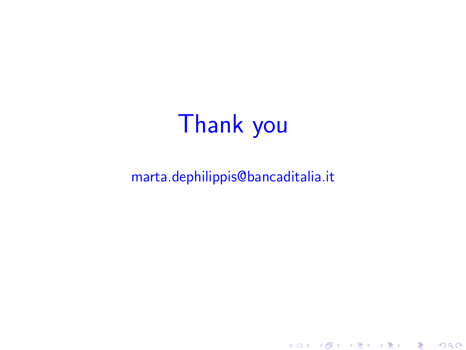# Thank you

#### marta.dephilippis@bancaditalia.it